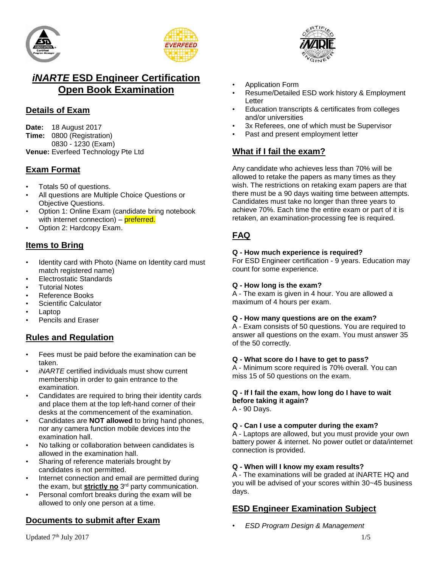



## *iNARTE* **ESD Engineer Certification Open Book Examination**

## **Details of Exam**

**Date:** 18 August 2017 **Time:** 0800 (Registration) 0830 - 1230 (Exam) **Venue:** Everfeed Technology Pte Ltd

## **Exam Format**

- Totals 50 of questions.
- All questions are Multiple Choice Questions or Objective Questions.
- Option 1: Online Exam (candidate bring notebook with internet connection) – **preferred.**
- Option 2: Hardcopy Exam.

## **Items to Bring**

- Identity card with Photo (Name on Identity card must match registered name)
- Electrostatic Standards
- **Tutorial Notes**
- Reference Books
- Scientific Calculator
- Laptop
- Pencils and Eraser

### **Rules and Regulation**

- Fees must be paid before the examination can be taken.
- *iNARTE* certified individuals must show current membership in order to gain entrance to the examination.
- Candidates are required to bring their identity cards and place them at the top left-hand corner of their desks at the commencement of the examination.
- Candidates are **NOT allowed** to bring hand phones, nor any camera function mobile devices into the examination hall.
- No talking or collaboration between candidates is allowed in the examination hall.
- Sharing of reference materials brought by candidates is not permitted.
- Internet connection and email are permitted during the exam, but **strictly no** 3 rd party communication.
- Personal comfort breaks during the exam will be allowed to only one person at a time.

## **Documents to submit after Exam**

- Application Form
- Resume/Detailed ESD work history & Employment Letter
- Education transcripts & certificates from colleges and/or universities
- 3x Referees, one of which must be Supervisor
- Past and present employment letter

## **What if I fail the exam?**

Any candidate who achieves less than 70% will be allowed to retake the papers as many times as they wish. The restrictions on retaking exam papers are that there must be a 90 days waiting time between attempts. Candidates must take no longer than three years to achieve 70%. Each time the entire exam or part of it is retaken, an examination-processing fee is required.

## **FAQ**

#### **Q - How much experience is required?**

For ESD Engineer certification - 9 years. Education may count for some experience.

#### **Q - How long is the exam?**

A - The exam is given in 4 hour. You are allowed a maximum of 4 hours per exam.

#### **Q - How many questions are on the exam?**

A - Exam consists of 50 questions. You are required to answer all questions on the exam. You must answer 35 of the 50 correctly.

#### **Q - What score do I have to get to pass?**

A - Minimum score required is 70% overall. You can miss 15 of 50 questions on the exam.

## **Q - If I fail the exam, how long do I have to wait before taking it again?**

A - 90 Days.

#### **Q - Can I use a computer during the exam?**

A - Laptops are allowed, but you must provide your own battery power & internet. No power outlet or data/internet connection is provided.

#### **Q - When will I know my exam results?**

A - The examinations will be graded at iNARTE HQ and you will be advised of your scores within 30~45 business days.

### **ESD Engineer Examination Subject**

• *ESD Program Design & Management*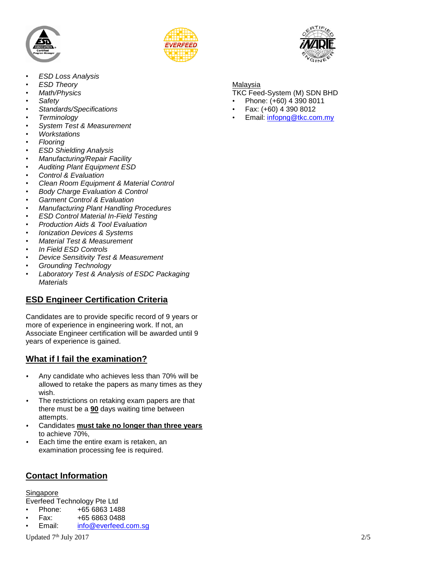



- *ESD Loss Analysis*
- *ESD Theory*
- *Math/Physics*
- *Safety*
- *Standards/Specifications*
- *Terminology*
- *System Test & Measurement*
- *Workstations*
- *Flooring*
- *ESD Shielding Analysis*
- *Manufacturing/Repair Facility*
- *Auditing Plant Equipment ESD*
- *Control & Evaluation*
- *Clean Room Equipment & Material Control*
- *Body Charge Evaluation & Control*
- *Garment Control & Evaluation*
- *Manufacturing Plant Handling Procedures*
- *ESD Control Material In-Field Testing*
- *Production Aids & Tool Evaluation*
- *Ionization Devices & Systems*
- *Material Test & Measurement*
- *In Field ESD Controls*
- *Device Sensitivity Test & Measurement*
- *Grounding Technology*
- *Laboratory Test & Analysis of ESDC Packaging Materials*

### **ESD Engineer Certification Criteria**

Candidates are to provide specific record of 9 years or more of experience in engineering work. If not, an Associate Engineer certification will be awarded until 9 years of experience is gained.

### **What if I fail the examination?**

- Any candidate who achieves less than 70% will be allowed to retake the papers as many times as they wish.
- The restrictions on retaking exam papers are that there must be a **90** days waiting time between attempts.
- Candidates **must take no longer than three years** to achieve 70%,
- Each time the entire exam is retaken, an examination processing fee is required.

### **Contact Information**

Singapore

Everfeed Technology Pte Ltd

- Phone: +65 6863 1488
- Fax: +65 6863 0488
- Email: [info@everfeed.com.sg](mailto:info@everfeed.com.sg)

Updated 7<sup>th</sup> July 2017 th July 2017 2017



#### Malaysia

- TKC Feed-System (M) SDN BHD
- Phone: (+60) 4 390 8011
- Fax: (+60) 4 390 8012
- Email: [infopng@tkc.com.my](mailto:infopng@tkc.com.my)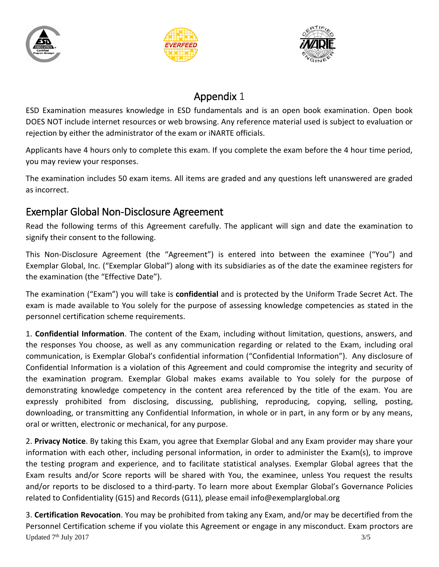





# Appendix 1

ESD Examination measures knowledge in ESD fundamentals and is an open book examination. Open book DOES NOT include internet resources or web browsing. Any reference material used is subject to evaluation or rejection by either the administrator of the exam or iNARTE officials.

Applicants have 4 hours only to complete this exam. If you complete the exam before the 4 hour time period, you may review your responses.

The examination includes 50 exam items. All items are graded and any questions left unanswered are graded as incorrect.

# Exemplar Global Non-Disclosure Agreement

Read the following terms of this Agreement carefully. The applicant will sign and date the examination to signify their consent to the following.

This Non-Disclosure Agreement (the "Agreement") is entered into between the examinee ("You") and Exemplar Global, Inc. ("Exemplar Global") along with its subsidiaries as of the date the examinee registers for the examination (the "Effective Date").

The examination ("Exam") you will take is **confidential** and is protected by the Uniform Trade Secret Act. The exam is made available to You solely for the purpose of assessing knowledge competencies as stated in the personnel certification scheme requirements.

1. **Confidential Information**. The content of the Exam, including without limitation, questions, answers, and the responses You choose, as well as any communication regarding or related to the Exam, including oral communication, is Exemplar Global's confidential information ("Confidential Information"). Any disclosure of Confidential Information is a violation of this Agreement and could compromise the integrity and security of the examination program. Exemplar Global makes exams available to You solely for the purpose of demonstrating knowledge competency in the content area referenced by the title of the exam. You are expressly prohibited from disclosing, discussing, publishing, reproducing, copying, selling, posting, downloading, or transmitting any Confidential Information, in whole or in part, in any form or by any means, oral or written, electronic or mechanical, for any purpose.

2. **Privacy Notice**. By taking this Exam, you agree that Exemplar Global and any Exam provider may share your information with each other, including personal information, in order to administer the Exam(s), to improve the testing program and experience, and to facilitate statistical analyses. Exemplar Global agrees that the Exam results and/or Score reports will be shared with You, the examinee, unless You request the results and/or reports to be disclosed to a third-party. To learn more about Exemplar Global's Governance Policies related to Confidentiality (G15) and Records (G11), please email info@exemplarglobal.org

Updated 7<sup>th</sup> July 2017 3/5 3. **Certification Revocation**. You may be prohibited from taking any Exam, and/or may be decertified from the Personnel Certification scheme if you violate this Agreement or engage in any misconduct. Exam proctors are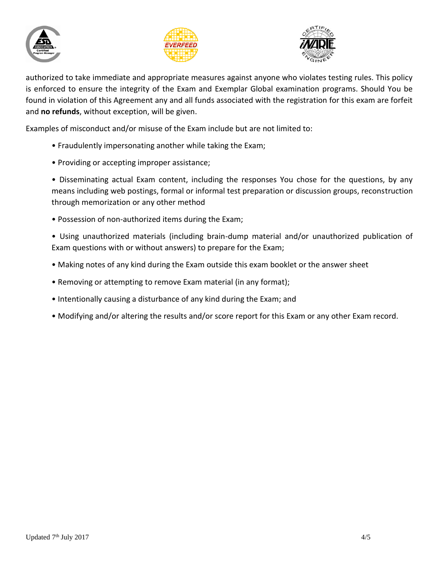





authorized to take immediate and appropriate measures against anyone who violates testing rules. This policy is enforced to ensure the integrity of the Exam and Exemplar Global examination programs. Should You be found in violation of this Agreement any and all funds associated with the registration for this exam are forfeit and **no refunds**, without exception, will be given.

Examples of misconduct and/or misuse of the Exam include but are not limited to:

- Fraudulently impersonating another while taking the Exam;
- Providing or accepting improper assistance;
- Disseminating actual Exam content, including the responses You chose for the questions, by any means including web postings, formal or informal test preparation or discussion groups, reconstruction through memorization or any other method
- Possession of non-authorized items during the Exam;
- Using unauthorized materials (including brain-dump material and/or unauthorized publication of Exam questions with or without answers) to prepare for the Exam;
- Making notes of any kind during the Exam outside this exam booklet or the answer sheet
- Removing or attempting to remove Exam material (in any format);
- Intentionally causing a disturbance of any kind during the Exam; and
- Modifying and/or altering the results and/or score report for this Exam or any other Exam record.